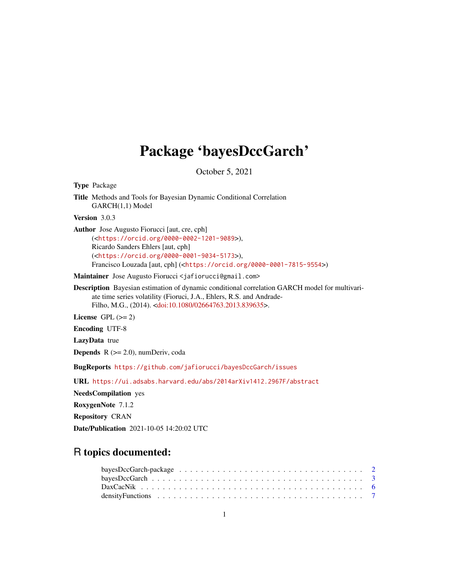## Package 'bayesDccGarch'

October 5, 2021

Type Package Title Methods and Tools for Bayesian Dynamic Conditional Correlation GARCH(1,1) Model Version 3.0.3 Author Jose Augusto Fiorucci [aut, cre, cph] (<<https://orcid.org/0000-0002-1201-9089>>), Ricardo Sanders Ehlers [aut, cph] (<<https://orcid.org/0000-0001-9034-5173>>), Francisco Louzada [aut, cph] (<<https://orcid.org/0000-0001-7815-9554>>) Maintainer Jose Augusto Fiorucci <jafiorucci@gmail.com> Description Bayesian estimation of dynamic conditional correlation GARCH model for multivariate time series volatility (Fioruci, J.A., Ehlers, R.S. and Andrade-Filho, M.G., (2014). [<doi:10.1080/02664763.2013.839635>](https://doi.org/10.1080/02664763.2013.839635). License GPL  $(>= 2)$ Encoding UTF-8 LazyData true **Depends**  $R$  ( $>= 2.0$ ), numDeriv, coda BugReports <https://github.com/jafiorucci/bayesDccGarch/issues> URL <https://ui.adsabs.harvard.edu/abs/2014arXiv1412.2967F/abstract>

NeedsCompilation yes

RoxygenNote 7.1.2

Repository CRAN

Date/Publication 2021-10-05 14:20:02 UTC

### R topics documented:

| density Functions $\ldots \ldots \ldots \ldots \ldots \ldots \ldots \ldots \ldots \ldots \ldots \ldots \ldots$ |  |  |  |  |  |  |  |  |  |  |  |  |  |  |  |  |  |
|----------------------------------------------------------------------------------------------------------------|--|--|--|--|--|--|--|--|--|--|--|--|--|--|--|--|--|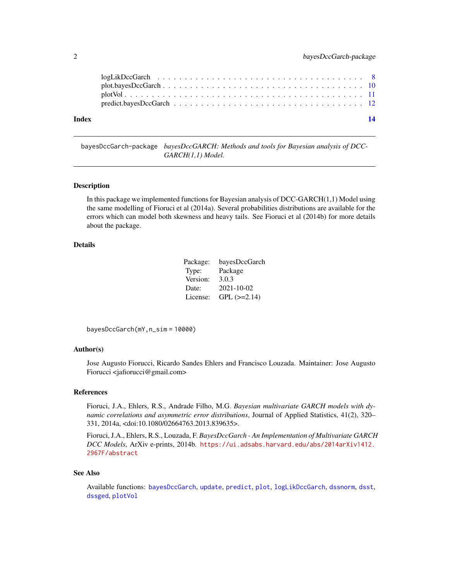<span id="page-1-0"></span>

| Index | 14 |  |
|-------|----|--|

<span id="page-1-1"></span>bayesDccGarch-package *bayesDccGARCH: Methods and tools for Bayesian analysis of DCC-GARCH(1,1) Model.*

#### Description

In this package we implemented functions for Bayesian analysis of DCC-GARCH(1,1) Model using the same modelling of Fioruci et al (2014a). Several probabilities distributions are available for the errors which can model both skewness and heavy tails. See Fioruci et al (2014b) for more details about the package.

#### Details

| Package: | bayesDccGarch      |
|----------|--------------------|
| Type:    | Package            |
| Version: | 3.0.3              |
| Date:    | 2021-10-02         |
| License: | $GPL$ ( $>=2.14$ ) |

bayesDccGarch(mY,n\_sim = 10000)

#### Author(s)

Jose Augusto Fiorucci, Ricardo Sandes Ehlers and Francisco Louzada. Maintainer: Jose Augusto Fiorucci <jafiorucci@gmail.com>

#### References

Fioruci, J.A., Ehlers, R.S., Andrade Filho, M.G. *Bayesian multivariate GARCH models with dynamic correlations and asymmetric error distributions*, Journal of Applied Statistics, 41(2), 320– 331, 2014a, <doi:10.1080/02664763.2013.839635>.

Fioruci, J.A., Ehlers, R.S., Louzada, F. *BayesDccGarch - An Implementation of Multivariate GARCH DCC Models*, ArXiv e-prints, 2014b. [https://ui.adsabs.harvard.edu/abs/2014arXiv1412.](https://ui.adsabs.harvard.edu/abs/2014arXiv1412.2967F/abstract) [2967F/abstract](https://ui.adsabs.harvard.edu/abs/2014arXiv1412.2967F/abstract)

#### See Also

Available functions: [bayesDccGarch](#page-2-1), [update](#page-2-2), [predict](#page-11-1), [plot](#page-9-1), [logLikDccGarch](#page-7-1), [dssnorm](#page-6-1), [dsst](#page-6-1), [dssged](#page-6-1), [plotVol](#page-10-1)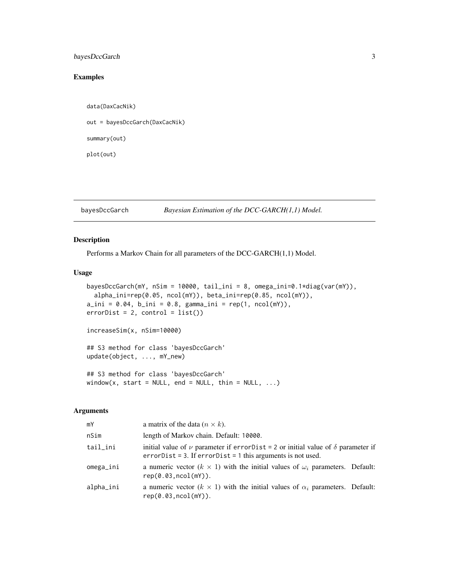#### <span id="page-2-0"></span>bayesDccGarch 3

#### Examples

```
data(DaxCacNik)
out = bayesDccGarch(DaxCacNik)
summary(out)
plot(out)
```
<span id="page-2-1"></span>bayesDccGarch *Bayesian Estimation of the DCC-GARCH(1,1) Model.*

#### <span id="page-2-2"></span>Description

Performs a Markov Chain for all parameters of the DCC-GARCH(1,1) Model.

#### Usage

```
bayesDccGarch(mY, nSim = 10000, tail_ini = 8, omega_ini=0.1*diag(var(mY)),
 alpha_ini=rep(0.05, ncol(mY)), beta_ini=rep(0.85, ncol(mY)),
a_ini = 0.04, b_ini = 0.8, gamma_ini = rep(1, ncol(mY)),errorDist = 2, control = list()increaseSim(x, nSim=10000)
## S3 method for class 'bayesDccGarch'
update(object, ..., mY_new)
## S3 method for class 'bayesDccGarch'
window(x, start = NULL, end = NULL, thin = NULL, \ldots)
```
#### Arguments

| mY        | a matrix of the data $(n \times k)$ .                                                                                                                            |
|-----------|------------------------------------------------------------------------------------------------------------------------------------------------------------------|
| nSim      | length of Markov chain. Default: 10000.                                                                                                                          |
| tail_ini  | initial value of $\nu$ parameter if error Dist = 2 or initial value of $\delta$ parameter if<br>$errorDist = 3$ . If $errorDist = 1$ this arguments is not used. |
| omega_ini | a numeric vector $(k \times 1)$ with the initial values of $\omega_i$ parameters. Default:<br>rep(0.03, ncol(mY)).                                               |
| alpha_ini | a numeric vector $(k \times 1)$ with the initial values of $\alpha_i$ parameters. Default:<br>rep(0.03, ncol(mY)).                                               |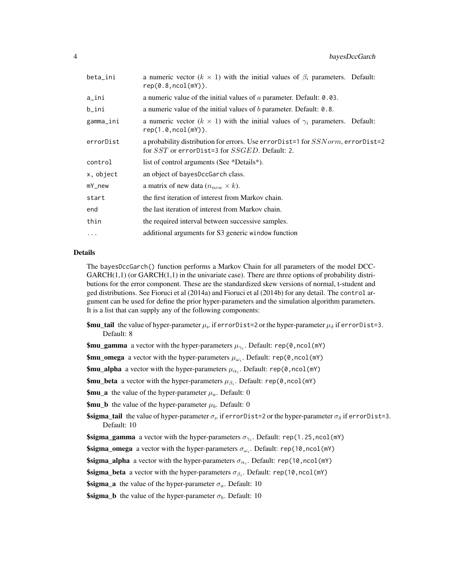| beta_ini  | a numeric vector ( $k \times 1$ ) with the initial values of $\beta_i$ parameters. Default:<br>rep(0.8, ncol(mY)).                             |
|-----------|------------------------------------------------------------------------------------------------------------------------------------------------|
| a_ini     | a numeric value of the initial values of $\alpha$ parameter. Default: 0.03.                                                                    |
| b_ini     | a numeric value of the initial values of $b$ parameter. Default: 0.8.                                                                          |
| gamma_ini | a numeric vector ( $k \times 1$ ) with the initial values of $\gamma_i$ parameters. Default:<br>rep(1.0, ncol(mY)).                            |
| errorDist | a probability distribution for errors. Use errorDist=1 for SSNorm, errorDist=2<br>for <i>SST</i> or errorDist=3 for <i>SSGED</i> . Default: 2. |
| control   | list of control arguments (See *Details*).                                                                                                     |
| x, object | an object of bayesDccGarch class.                                                                                                              |
| mY_new    | a matrix of new data $(n_{new} \times k)$ .                                                                                                    |
| start     | the first iteration of interest from Markov chain.                                                                                             |
| end       | the last iteration of interest from Markov chain.                                                                                              |
| thin      | the required interval between successive samples.                                                                                              |
| $\cdots$  | additional arguments for S3 generic window function                                                                                            |
|           |                                                                                                                                                |

#### Details

The bayesDccGarch() function performs a Markov Chain for all parameters of the model DCC- $GARCH(1,1)$  (or  $GARCH(1,1)$  in the univariate case). There are three options of probability distributions for the error component. These are the standardized skew versions of normal, t-student and ged distributions. See Fioruci et al (2014a) and Fioruci et al (2014b) for any detail. The control argument can be used for define the prior hyper-parameters and the simulation algorithm parameters. It is a list that can supply any of the following components:

- **\$mu\_tail** the value of hyper-parameter  $\mu_{\nu}$  if errorDist=2 or the hyper-parameter  $\mu_{\delta}$  if errorDist=3. Default: 8
- \$mu\_gamma a vector with the hyper-parameters  $\mu_{\gamma_i}$ . Default: rep(0,ncol(mY)

\$mu\_omega a vector with the hyper-parameters  $\mu_{\omega_i}$ . Default: rep(0,ncol(mY)

\$mu\_alpha a vector with the hyper-parameters  $\mu_{\alpha_i}$ . Default: rep(0,ncol(mY)

\$mu\_beta a vector with the hyper-parameters  $\mu_{\beta_i}$ . Default: rep(0,ncol(mY)

**\$mu\_a** the value of the hyper-parameter  $\mu_a$ . Default: 0

**\$mu\_b** the value of the hyper-parameter  $\mu_b$ . Default: 0

**\$sigma\_tail** the value of hyper-parameter  $\sigma_{\nu}$  if errorDist=2 or the hyper-parameter  $\sigma_{\delta}$  if errorDist=3. Default: 10

**\$sigma\_gamma** a vector with the hyper-parameters  $\sigma_{\gamma_i}$ . Default: rep(1.25,ncol(mY)

**\$sigma\_omega** a vector with the hyper-parameters  $\sigma_{\omega_i}$ . Default: rep(10,ncol(mY)

**\$sigma\_alpha** a vector with the hyper-parameters  $\sigma_{\alpha_i}$ . Default: rep(10,ncol(mY)

**\$sigma\_beta** a vector with the hyper-parameters  $\sigma_{\beta_i}$ . Default: rep(10, ncol(mY)

**\$sigma\_a** the value of the hyper-parameter  $\sigma_a$ . Default: 10

**\$sigma\_b** the value of the hyper-parameter  $\sigma_b$ . Default: 10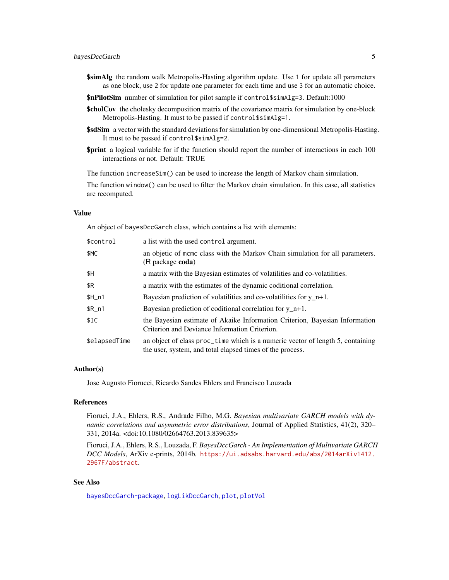#### <span id="page-4-0"></span>bayesDccGarch 5

- **\$simAlg** the random walk Metropolis-Hasting algorithm update. Use 1 for update all parameters as one block, use 2 for update one parameter for each time and use 3 for an automatic choice.
- \$nPilotSim number of simulation for pilot sample if control\$simAlg=3. Default:1000
- **\$cholCov** the cholesky decomposition matrix of the covariance matrix for simulation by one-block Metropolis-Hasting. It must to be passed if control\$simAlg=1.
- \$sdSim a vector with the standard deviations for simulation by one-dimensional Metropolis-Hasting. It must to be passed if control\$simAlg=2.
- **\$print** a logical variable for if the function should report the number of interactions in each 100 interactions or not. Default: TRUE

The function increaseSim() can be used to increase the length of Markov chain simulation.

The function window() can be used to filter the Markov chain simulation. In this case, all statistics are recomputed.

#### Value

An object of bayesDccGarch class, which contains a list with elements:

| \$control     | a list with the used control argument.                                                                                                      |
|---------------|---------------------------------------------------------------------------------------------------------------------------------------------|
| \$MC          | an objetic of mcmc class with the Markov Chain simulation for all parameters.<br>(R package coda)                                           |
| \$H           | a matrix with the Bayesian estimates of volatilities and co-volatilities.                                                                   |
| \$R           | a matrix with the estimates of the dynamic coditional correlation.                                                                          |
| $$H_n1$       | Bayesian prediction of volatilities and co-volatilities for $y_n+1$ .                                                                       |
| $R_n$ 1       | Bayesian prediction of coditional correlation for $y$ n+1.                                                                                  |
| \$IC          | the Bayesian estimate of Akaike Information Criterion, Bayesian Information<br>Criterion and Deviance Information Criterion.                |
| \$elapsedTime | an object of class proc_time which is a numeric vector of length 5, containing<br>the user, system, and total elapsed times of the process. |

#### Author(s)

Jose Augusto Fiorucci, Ricardo Sandes Ehlers and Francisco Louzada

#### References

Fioruci, J.A., Ehlers, R.S., Andrade Filho, M.G. *Bayesian multivariate GARCH models with dynamic correlations and asymmetric error distributions*, Journal of Applied Statistics, 41(2), 320– 331, 2014a. <doi:10.1080/02664763.2013.839635>

Fioruci, J.A., Ehlers, R.S., Louzada, F. *BayesDccGarch - An Implementation of Multivariate GARCH DCC Models*, ArXiv e-prints, 2014b. [https://ui.adsabs.harvard.edu/abs/2014arXiv1412.](https://ui.adsabs.harvard.edu/abs/2014arXiv1412.2967F/abstract) [2967F/abstract](https://ui.adsabs.harvard.edu/abs/2014arXiv1412.2967F/abstract).

#### See Also

[bayesDccGarch-package](#page-1-1), [logLikDccGarch](#page-7-1), [plot](#page-9-1), [plotVol](#page-10-1)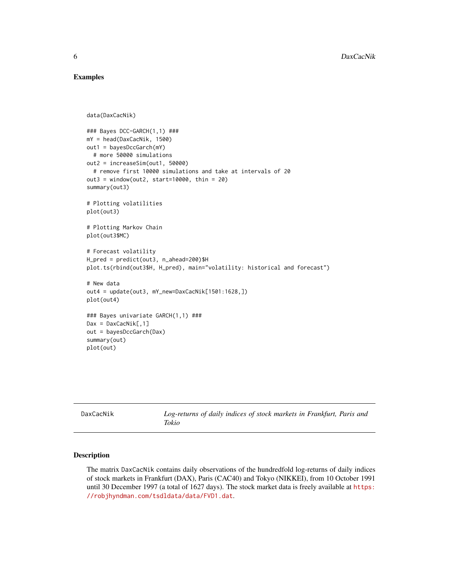#### Examples

```
data(DaxCacNik)
### Bayes DCC-GARCH(1,1) ###
mY = head(DaxCacNik, 1500)
out1 = bayesDccGarch(mY)
  # more 50000 simulations
out2 = increaseSim(out1, 50000)
  # remove first 10000 simulations and take at intervals of 20
out3 = window(out2, start=10000, thin = 20)summary(out3)
# Plotting volatilities
plot(out3)
# Plotting Markov Chain
plot(out3$MC)
# Forecast volatility
H_pred = predict(out3, n_ahead=200)$H
plot.ts(rbind(out3$H, H_pred), main="volatility: historical and forecast")
# New data
out4 = update(out3, mY_new=DaxCacNik[1501:1628,])
plot(out4)
### Bayes univariate GARCH(1,1) ###
Dax = DaxCaCNik[, 1]out = bayesDccGarch(Dax)
summary(out)
plot(out)
```

| DaxCacNik | Log-returns of daily indices of stock markets in Frankfurt, Paris and<br>Tokio |
|-----------|--------------------------------------------------------------------------------|
|           |                                                                                |

#### Description

The matrix DaxCacNik contains daily observations of the hundredfold log-returns of daily indices of stock markets in Frankfurt (DAX), Paris (CAC40) and Tokyo (NIKKEI), from 10 October 1991 until 30 December 1997 (a total of 1627 days). The stock market data is freely available at [https:](https://robjhyndman.com/tsdldata/data/FVD1.dat) [//robjhyndman.com/tsdldata/data/FVD1.dat](https://robjhyndman.com/tsdldata/data/FVD1.dat).

<span id="page-5-0"></span>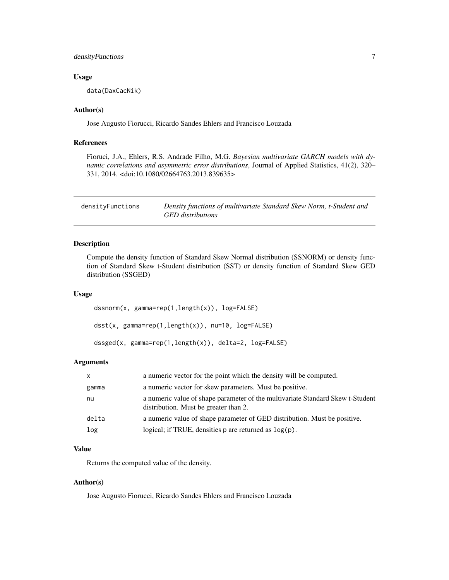#### <span id="page-6-0"></span>densityFunctions 7

#### Usage

data(DaxCacNik)

#### Author(s)

Jose Augusto Fiorucci, Ricardo Sandes Ehlers and Francisco Louzada

#### References

Fioruci, J.A., Ehlers, R.S. Andrade Filho, M.G. *Bayesian multivariate GARCH models with dynamic correlations and asymmetric error distributions*, Journal of Applied Statistics, 41(2), 320– 331, 2014. <doi:10.1080/02664763.2013.839635>

| densityFunctions | Density functions of multivariate Standard Skew Norm, t-Student and |
|------------------|---------------------------------------------------------------------|
|                  | GED distributions                                                   |

#### <span id="page-6-1"></span>Description

Compute the density function of Standard Skew Normal distribution (SSNORM) or density function of Standard Skew t-Student distribution (SST) or density function of Standard Skew GED distribution (SSGED)

#### Usage

dssnorm(x, gamma=rep(1,length(x)), log=FALSE)

dsst(x, gamma=rep(1,length(x)), nu=10, log=FALSE)

```
dssged(x, gamma=rep(1,length(x)), delta=2, log=FALSE)
```
#### Arguments

| $\mathsf{x}$ | a numeric vector for the point which the density will be computed.                                                      |
|--------------|-------------------------------------------------------------------------------------------------------------------------|
| gamma        | a numeric vector for skew parameters. Must be positive.                                                                 |
| nu           | a numeric value of shape parameter of the multivariate Standard Skew t-Student<br>distribution. Must be greater than 2. |
| delta        | a numeric value of shape parameter of GED distribution. Must be positive.                                               |
| log          | logical; if TRUE, densities $p$ are returned as $log(p)$ .                                                              |

#### Value

Returns the computed value of the density.

#### Author(s)

Jose Augusto Fiorucci, Ricardo Sandes Ehlers and Francisco Louzada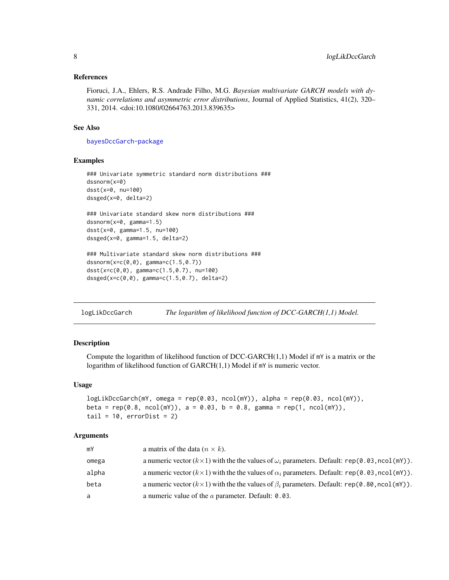#### <span id="page-7-0"></span>References

Fioruci, J.A., Ehlers, R.S. Andrade Filho, M.G. *Bayesian multivariate GARCH models with dynamic correlations and asymmetric error distributions*, Journal of Applied Statistics, 41(2), 320– 331, 2014. <doi:10.1080/02664763.2013.839635>

#### See Also

[bayesDccGarch-package](#page-1-1)

#### Examples

```
### Univariate symmetric standard norm distributions ###
dssnorm(x=0)
dsst(x=0, nu=100)
dssged(x=0, delta=2)
### Univariate standard skew norm distributions ###
dssnorm(x=0, gamma=1.5)
dsst(x=0, gamma=1.5, nu=100)
dssged(x=0, gamma=1.5, delta=2)
### Multivariate standard skew norm distributions ###
dssnorm(x=c(0,0), gamma=c(1.5,0.7))
dsst(x=c(0,0), gamma=c(1.5,0.7), nu=100)
dssged(x=c(0,0), gamma=c(1.5,0.7), delta=2)
```
<span id="page-7-1"></span>logLikDccGarch *The logarithm of likelihood function of DCC-GARCH(1,1) Model.*

#### **Description**

Compute the logarithm of likelihood function of DCC-GARCH $(1,1)$  Model if  $mY$  is a matrix or the logarithm of likelihood function of GARCH(1,1) Model if mY is numeric vector.

#### Usage

```
logLikDccGarch(mY, omega = rep(0.03, ncol(mY)), alpha = rep(0.03, ncol(mY)),
beta = rep(0.8, ncol(mY)), a = 0.03, b = 0.8, gamma = rep(1, ncol(mY)),tail = 10, errorDist = 2)
```
#### Arguments

| mY    | a matrix of the data $(n \times k)$ .                                                                       |
|-------|-------------------------------------------------------------------------------------------------------------|
| omega | a numeric vector $(k \times 1)$ with the the values of $\omega_i$ parameters. Default: rep(0.03, ncol(mY)). |
| alpha | a numeric vector $(k \times 1)$ with the the values of $\alpha_i$ parameters. Default: rep(0.03, ncol(mY)). |
| beta  | a numeric vector $(k \times 1)$ with the the values of $\beta_i$ parameters. Default: rep(0.80, ncol(mY)).  |
| a     | a numeric value of the $a$ parameter. Default: 0.03.                                                        |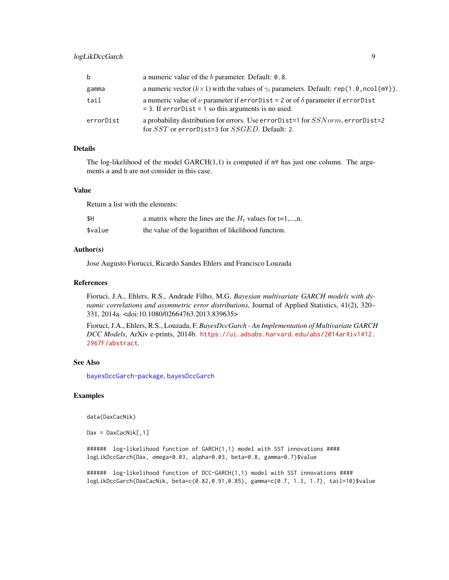<span id="page-8-0"></span>

| b         | a numeric value of the <i>b</i> parameter. Default: 0.8.                                                                                                   |
|-----------|------------------------------------------------------------------------------------------------------------------------------------------------------------|
| gamma     | a numeric vector $(k \times 1)$ with the values of $\gamma_i$ parameters. Default: rep(1.0, ncol(mY)).                                                     |
| tail      | a numeric value of $\nu$ parameter if error Dist = 2 or of $\delta$ parameter if error Dist<br>$=$ 3. If error Dist $=$ 1 so this arguments is no used.    |
| errorDist | a probability distribution for errors. Use error Dist=1 for <i>SSN orm</i> , error Dist=2<br>for <i>SST</i> or error Dist=3 for <i>SSGED</i> . Default: 2. |

#### Details

The log-likelihood of the model  $GARCH(1,1)$  is computed if  $mY$  has just one column. The arguments a and b are not consider in this case.

#### Value

Return a list with the elements:

| \$Η     | a matrix where the lines are the $H_t$ values for t=1,,n. |
|---------|-----------------------------------------------------------|
| \$value | the value of the logarithm of likelihood function.        |

#### Author(s)

Jose Augusto Fiorucci, Ricardo Sandes Ehlers and Francisco Louzada

#### References

Fioruci, J.A., Ehlers, R.S., Andrade Filho, M.G. *Bayesian multivariate GARCH models with dynamic correlations and asymmetric error distributions*, Journal of Applied Statistics, 41(2), 320– 331, 2014a. <doi:10.1080/02664763.2013.839635>

Fioruci, J.A., Ehlers, R.S., Louzada, F. *BayesDccGarch - An Implementation of Multivariate GARCH DCC Models*, ArXiv e-prints, 2014b. [https://ui.adsabs.harvard.edu/abs/2014arXiv1412.](https://ui.adsabs.harvard.edu/abs/2014arXiv1412.2967F/abstract) [2967F/abstract](https://ui.adsabs.harvard.edu/abs/2014arXiv1412.2967F/abstract).

#### See Also

[bayesDccGarch-package](#page-1-1), [bayesDccGarch](#page-2-1)

#### Examples

data(DaxCacNik)

 $Dax = DaxCaCNik[, 1]$ 

###### log-likelihood function of GARCH(1,1) model with SST innovations #### logLikDccGarch(Dax, omega=0.03, alpha=0.03, beta=0.8, gamma=0.7)\$value

###### log-likelihood function of DCC-GARCH(1,1) model with SST innovations #### logLikDccGarch(DaxCacNik, beta=c(0.82,0.91,0.85), gamma=c(0.7, 1.3, 1.7), tail=10)\$value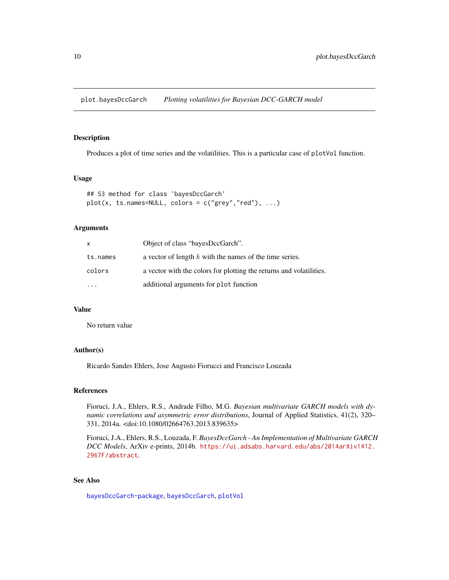<span id="page-9-2"></span><span id="page-9-0"></span>plot.bayesDccGarch *Plotting volatilities for Bayesian DCC-GARCH model*

#### <span id="page-9-1"></span>Description

Produces a plot of time series and the volatilities. This is a particular case of plotVol function.

#### Usage

```
## S3 method for class 'bayesDccGarch'
plot(x, ts. names= NULL, colors = c("grey", "red"), ...)
```
#### Arguments

| x         | Object of class "bayesDccGarch".                                    |
|-----------|---------------------------------------------------------------------|
| ts.names  | a vector of length $k$ with the names of the time series.           |
| colors    | a vector with the colors for plotting the returns and volatilities. |
| $\ddotsc$ | additional arguments for plot function                              |

#### Value

No return value

#### Author(s)

Ricardo Sandes Ehlers, Jose Augusto Fiorucci and Francisco Louzada

#### References

Fioruci, J.A., Ehlers, R.S., Andrade Filho, M.G. *Bayesian multivariate GARCH models with dynamic correlations and asymmetric error distributions*, Journal of Applied Statistics, 41(2), 320– 331, 2014a. <doi:10.1080/02664763.2013.839635>

Fioruci, J.A., Ehlers, R.S., Louzada, F. *BayesDccGarch - An Implementation of Multivariate GARCH DCC Models*, ArXiv e-prints, 2014b. [https://ui.adsabs.harvard.edu/abs/2014arXiv1412.](https://ui.adsabs.harvard.edu/abs/2014arXiv1412.2967F/abstract) [2967F/abstract](https://ui.adsabs.harvard.edu/abs/2014arXiv1412.2967F/abstract).

#### See Also

[bayesDccGarch-package](#page-1-1), [bayesDccGarch](#page-2-1), [plotVol](#page-10-1)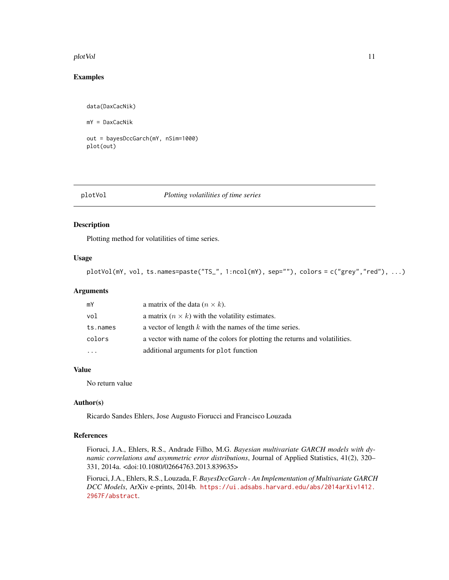#### <span id="page-10-0"></span>plotVol and the contract of the contract of the contract of the contract of the contract of the contract of the contract of the contract of the contract of the contract of the contract of the contract of the contract of th

#### Examples

```
data(DaxCacNik)
mY = DaxCacNik
out = bayesDccGarch(mY, nSim=1000)
plot(out)
```
#### <span id="page-10-1"></span>plotVol *Plotting volatilities of time series*

#### Description

Plotting method for volatilities of time series.

#### Usage

```
plotVol(mY, vol, ts.names=paste("TS_", 1:ncol(mY), sep=""), colors = c("grey","red"), ...)
```
#### Arguments

| mY        | a matrix of the data $(n \times k)$ .                                       |
|-----------|-----------------------------------------------------------------------------|
| vol       | a matrix $(n \times k)$ with the volatility estimates.                      |
| ts.names  | a vector of length $k$ with the names of the time series.                   |
| colors    | a vector with name of the colors for plotting the returns and volatilities. |
| $\ddotsc$ | additional arguments for plot function                                      |

#### Value

No return value

#### Author(s)

Ricardo Sandes Ehlers, Jose Augusto Fiorucci and Francisco Louzada

#### References

Fioruci, J.A., Ehlers, R.S., Andrade Filho, M.G. *Bayesian multivariate GARCH models with dynamic correlations and asymmetric error distributions*, Journal of Applied Statistics, 41(2), 320– 331, 2014a. <doi:10.1080/02664763.2013.839635>

Fioruci, J.A., Ehlers, R.S., Louzada, F. *BayesDccGarch - An Implementation of Multivariate GARCH DCC Models*, ArXiv e-prints, 2014b. [https://ui.adsabs.harvard.edu/abs/2014arXiv1412.](https://ui.adsabs.harvard.edu/abs/2014arXiv1412.2967F/abstract) [2967F/abstract](https://ui.adsabs.harvard.edu/abs/2014arXiv1412.2967F/abstract).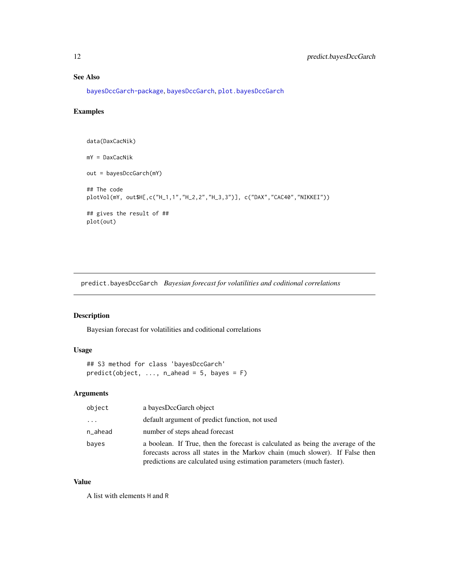#### See Also

[bayesDccGarch-package](#page-1-1), [bayesDccGarch](#page-2-1), [plot.bayesDccGarch](#page-9-2)

#### Examples

```
data(DaxCacNik)
mY = DaxCacNik
out = bayesDccGarch(mY)
## The code
plotVol(mY, out$H[,c("H_1,1","H_2,2","H_3,3")], c("DAX","CAC40","NIKKEI"))
## gives the result of ##
plot(out)
```
predict.bayesDccGarch *Bayesian forecast for volatilities and coditional correlations*

#### <span id="page-11-1"></span>Description

Bayesian forecast for volatilities and coditional correlations

#### Usage

## S3 method for class 'bayesDccGarch'  $predict(object, ..., n_ahead = 5, bayes = F)$ 

#### Arguments

| object  | a bayesDccGarch object                                                                                                                                                                                                                   |
|---------|------------------------------------------------------------------------------------------------------------------------------------------------------------------------------------------------------------------------------------------|
| .       | default argument of predict function, not used                                                                                                                                                                                           |
| n_ahead | number of steps ahead forecast                                                                                                                                                                                                           |
| bayes   | a boolean. If True, then the forecast is calculated as being the average of the<br>forecasts across all states in the Markov chain (much slower). If False then<br>predictions are calculated using estimation parameters (much faster). |

#### Value

A list with elements H and R

<span id="page-11-0"></span>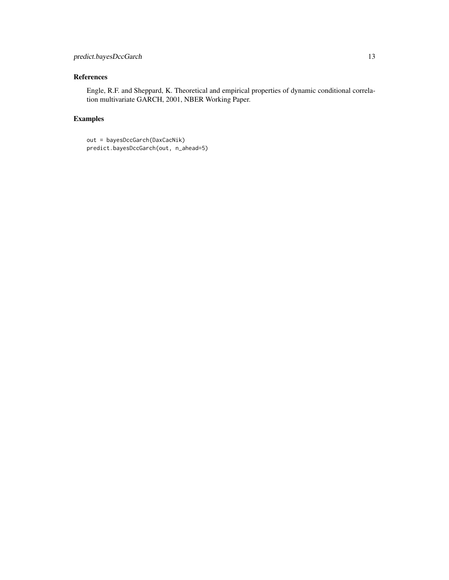#### References

Engle, R.F. and Sheppard, K. Theoretical and empirical properties of dynamic conditional correlation multivariate GARCH, 2001, NBER Working Paper.

#### Examples

```
out = bayesDccGarch(DaxCacNik)
predict.bayesDccGarch(out, n_ahead=5)
```